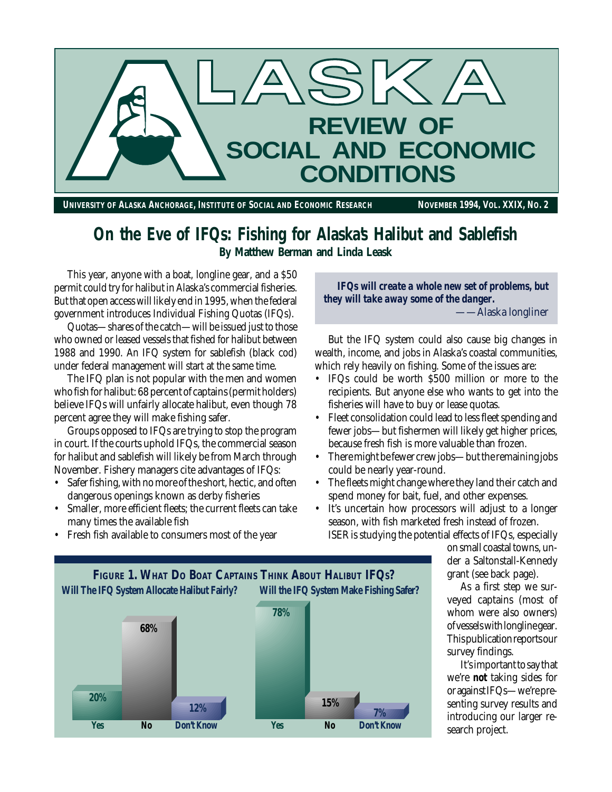

**On the Eve of IFQs: Fishing for Alaska's Halibut and Sablefish By Matthew Berman and Linda Leask**

This year, anyone with a boat, longline gear, and a \$50 permit could try for halibut in Alaska's commercial fisheries. But that open access will likely end in 1995, when the federal government introduces Individual Fishing Quotas (IFQs).

Quotas—shares of the catch—will be issued just to those who owned or leased vessels that fished for halibut between 1988 and 1990. An IFQ system for sablefish (black cod) under federal management will start at the same time.

The IFQ plan is not popular with the men and women who fish for halibut: 68 percent of captains (permit holders) believe IFQs will unfairly allocate halibut, even though 78 percent agree they will make fishing safer.

Groups opposed to IFQs are trying to stop the program in court. If the courts uphold IFQs, the commercial season for halibut and sablefish will likely be from March through November. Fishery managers cite advantages of IFQs:

- Safer fishing, with no more of the short, hectic, and often dangerous openings known as derby fisheries
- Smaller, more efficient fleets; the current fleets can take many times the available fish

• Fresh fish available to consumers most of the year

*IFQs will create a whole new set of problems, but they will take away some of the danger.* Alaska longliner

But the IFQ system could also cause big changes in wealth, income, and jobs in Alaska's coastal communities, which rely heavily on fishing. Some of the issues are:

- IFQs could be worth \$500 million or more to the recipients. But anyone else who wants to get into the fisheries will have to buy or lease quotas.
- Fleet consolidation could lead to less fleet spending and fewer jobs—but fishermen will likely get higher prices, because fresh fish is more valuable than frozen.
- There might be fewer crew jobs—but the remaining jobs could be nearly year-round.
- The fleets might change where they land their catch and spend money for bait, fuel, and other expenses.
- It's uncertain how processors will adjust to a longer season, with fish marketed fresh instead of frozen. ISER is studying the potential effects of IFQs, especially

on small coastal towns, under a Saltonstall-Kennedy grant (see back page).

As a first step we surveyed captains (most of whom were also owners) of vessels with longline gear. This publication reports our survey findings.

It's important to say that we're *not* taking sides for or against IFQs—we're presenting survey results and introducing our larger research project.



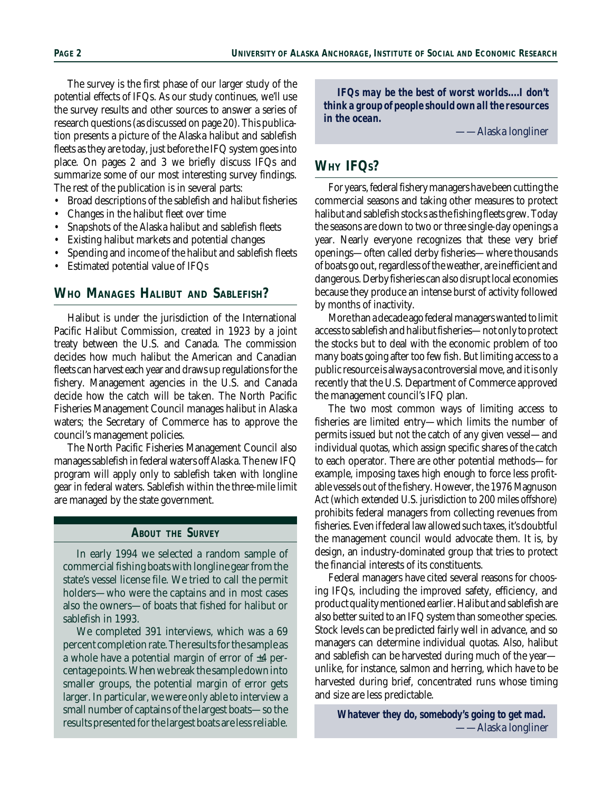The survey is the first phase of our larger study of the potential effects of IFQs. As our study continues, we'll use the survey results and other sources to answer a series of research questions (as discussed on page 20). This publication presents a picture of the Alaska halibut and sablefish fleets as they are today, just before the IFQ system goes into place. On pages 2 and 3 we briefly discuss IFQs and summarize some of our most interesting survey findings. The rest of the publication is in several parts:

- Broad descriptions of the sablefish and halibut fisheries
- Changes in the halibut fleet over time
- Snapshots of the Alaska halibut and sablefish fleets
- Existing halibut markets and potential changes
- Spending and income of the halibut and sablefish fleets
- Estimated potential value of IFQs

#### **WHO MANAGES HALIBUT AND SABLEFISH?**

Halibut is under the jurisdiction of the International Pacific Halibut Commission, created in 1923 by a joint treaty between the U.S. and Canada. The commission decides how much halibut the American and Canadian fleets can harvest each year and draws up regulations for the fishery. Management agencies in the U.S. and Canada decide how the catch will be taken. The North Pacific Fisheries Management Council manages halibut in Alaska waters; the Secretary of Commerce has to approve the council's management policies.

The North Pacific Fisheries Management Council also manages sablefish in federal waters off Alaska. The new IFQ program will apply only to sablefish taken with longline gear in federal waters. Sablefish within the three-mile limit are managed by the state government.

#### **ABOUT THE SURVEY**

In early 1994 we selected a random sample of commercial fishing boats with longline gear from the state's vessel license file. We tried to call the permit holders—who were the captains and in most cases also the owners—of boats that fished for halibut or sablefish in 1993.

We completed 391 interviews, which was a 69 percent completion rate. The results for the sample as a whole have a potential margin of error of  $\pm 4$  percentage points. When we break the sample down into smaller groups, the potential margin of error gets larger. In particular, we were only able to interview a small number of captains of the largest boats—so the results presented for the largest boats are less reliable.

*IFQs may be the best of worst worlds....I don't think a group of people should own all the resources in the ocean.*

Alaska longliner

## **WHY IFQS?**

For years, federal fishery managers have been cutting the commercial seasons and taking other measures to protect halibut and sablefish stocks as the fishing fleets grew. Today the seasons are down to two or three single-day openings a year. Nearly everyone recognizes that these very brief openings—often called derby fisheries—where thousands of boats go out, regardless of the weather, are inefficient and dangerous. Derby fisheries can also disrupt local economies because they produce an intense burst of activity followed by months of inactivity.

More than a decade ago federal managers wanted to limit access to sablefish and halibut fisheries—not only to protect the stocks but to deal with the economic problem of too many boats going after too few fish. But limiting access to a public resource is always a controversial move, and it is only recently that the U.S. Department of Commerce approved the management council's IFQ plan.

The two most common ways of limiting access to fisheries are limited entry—which limits the number of permits issued but not the catch of any given vessel—and individual quotas, which assign specific shares of the catch to each operator. There are other potential methods—for example, imposing taxes high enough to force less profitable vessels out of the fishery. However, the 1976 Magnuson Act (which extended U.S. jurisdiction to 200 miles offshore) prohibits federal managers from collecting revenues from fisheries. Even if federal law allowed such taxes, it's doubtful the management council would advocate them. It is, by design, an industry-dominated group that tries to protect the financial interests of its constituents.

Federal managers have cited several reasons for choosing IFQs, including the improved safety, efficiency, and product quality mentioned earlier. Halibut and sablefish are also better suited to an IFQ system than some other species. Stock levels can be predicted fairly well in advance, and so managers can determine individual quotas. Also, halibut and sablefish can be harvested during much of the year unlike, for instance, salmon and herring, which have to be harvested during brief, concentrated runs whose timing and size are less predictable.

*Whatever they do, somebody's going to get mad.* ——Alaska longliner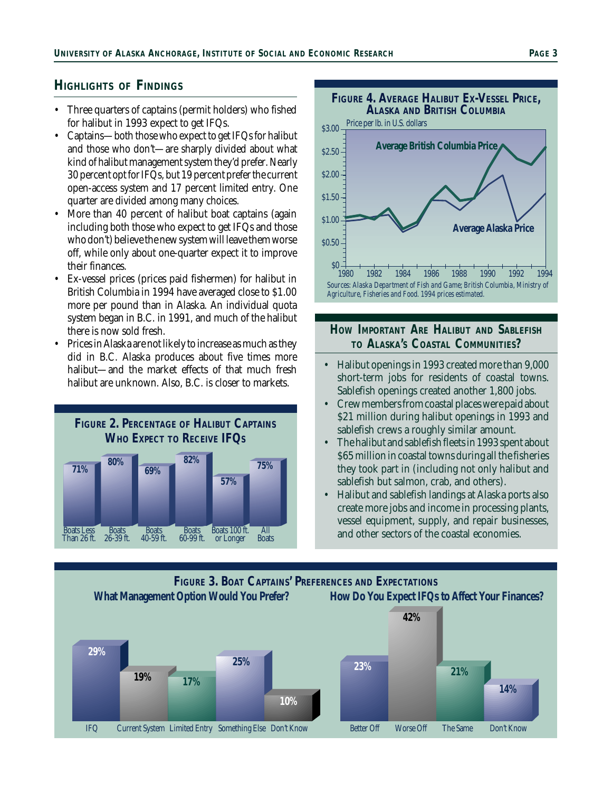### **HIGHLIGHTS OF FINDINGS**

- Three quarters of captains (permit holders) who fished for halibut in 1993 expect to get IFQs.
- Captains—both those who expect to get IFQs for halibut and those who don't—are sharply divided about what kind of halibut management system they'd prefer. Nearly 30 percent opt for IFQs, but 19 percent prefer the current open-access system and 17 percent limited entry. One quarter are divided among many choices.
- More than 40 percent of halibut boat captains (again including both those who expect to get IFQs and those who don't) believe the new system will leave them worse off, while only about one-quarter expect it to improve their finances.
- Ex-vessel prices (prices paid fishermen) for halibut in British Columbia in 1994 have averaged close to \$1.00 more per pound than in Alaska. An individual quota system began in B.C. in 1991, and much of the halibut there is now sold fresh.
- Prices in Alaska are not likely to increase as much as they did in B.C. Alaska produces about five times more halibut—and the market effects of that much fresh halibut are unknown. Also, B.C. is closer to markets.





### **HOW IMPORTANT ARE HALIBUT AND SABLEFISH TO ALASKA'S COASTAL COMMUNITIES?**

- Halibut openings in 1993 created more than 9,000 short-term jobs for residents of coastal towns. Sablefish openings created another 1,800 jobs.
- Crew members from coastal places were paid about \$21 million during halibut openings in 1993 and sablefish crews a roughly similar amount.
- The halibut and sablefish fleets in 1993 spent about \$65 million in coastal towns during all the fisheries they took part in (including not only halibut and sablefish but salmon, crab, and others).
- Halibut and sablefish landings at Alaska ports also create more jobs and income in processing plants, vessel equipment, supply, and repair businesses, and other sectors of the coastal economies.

## **FIGURE 3. BOAT CAPTAINS' PREFERENCES AND EXPECTATIONS**

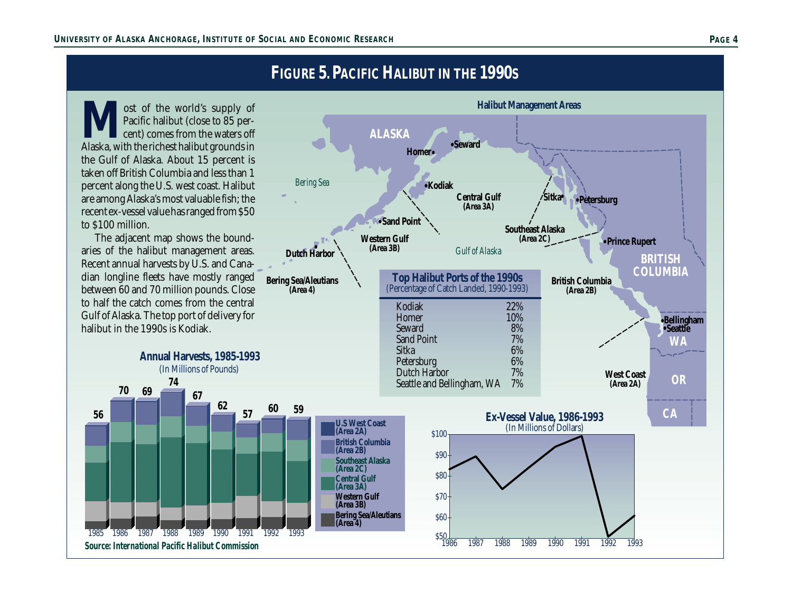# **FIGURE 5. PACIFIC HALIBUT IN THE 1990S**

**M**ost of the world's supply of Pacific halibut (close to 85 percent) comes from the waters off Alaska, with the richest halibut grounds in Pacific halibut (close to 85 percent) comes from the waters off the Gulf of Alaska. About 15 percent is taken off British Columbia and less than 1 percent along the U.S. west coast. Halibut are among Alaska's most valuable fish; the recent ex-vessel value has ranged from \$50 to \$100 million.

The adjacent map shows the boundaries of the halibut management areas. Recent annual harvests by U.S. and Canadian longline fleets have mostly ranged between 60 and 70 million pounds. Close to half the catch comes from the central Gulf of Alaska. The top port of delivery for halibut in the 1990s is Kodiak.

**74**

**Annual Harvests, 1985-1993** (In Millions of Pounds)

**67**

**62**

*Source: International Pacific Halibut Commission*

**56**

**70 69**

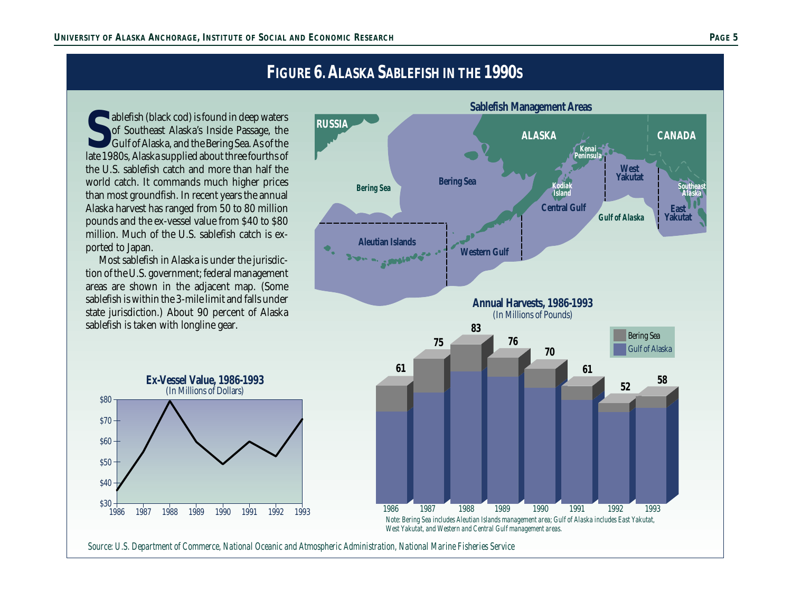# **FIGURE 6. ALASKA SABLEFISH IN THE 1990S**

**S**<br> **S** ablefish (black cod) is found in deep waters of Southeast Alaska's Inside Passage, the Gulf of Alaska, and the Bering Sea. As of the late 1980s, Alaska supplied about three fourths of ablefish (black cod) is found in deep waters of Southeast Alaska's Inside Passage, the Gulf of Alaska, and the Bering Sea. As of the the U.S. sablefish catch and more than half the world catch. It commands much higher prices than most groundfish. In recent years the annual Alaska harvest has ranged from 50 to 80 million pounds and the ex-vessel value from \$40 to \$80 million. Much of the U.S. sablefish catch is exported to Japan.

Most sablefish in Alaska is under the jurisdiction of the U.S. government; federal management areas are shown in the adjacent map. (Some sablefish is within the 3-mile limit and falls under state jurisdiction.) About 90 percent of Alaska sablefish is taken with longline gear.





*Source: U.S. Department of Commerce, National Oceanic and Atmospheric Administration, National Marine Fisheries Service*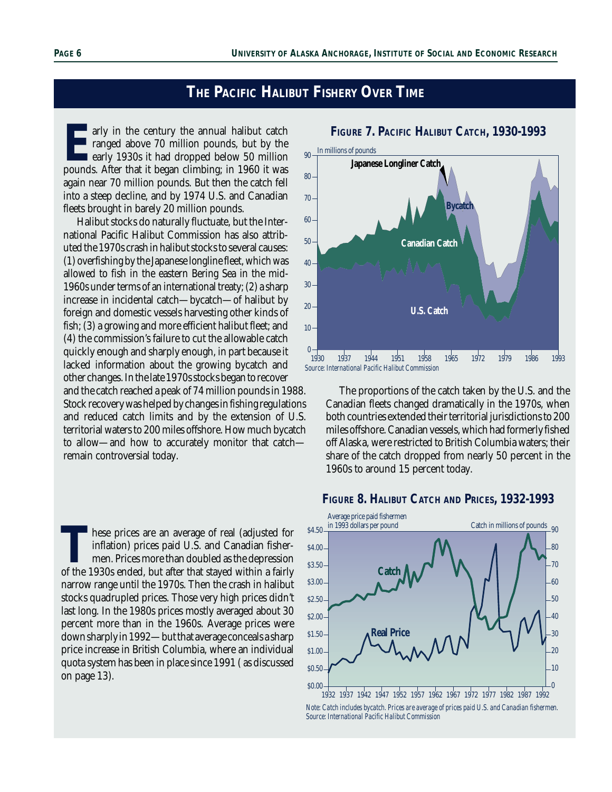## **THE PACIFIC HALIBUT FISHERY OVER TIME**

**E**arly in the century the annual halibut catch ranged above 70 million pounds, but by the **early 1930s it had dropped below 50 million** pounds. After that it began climbing; in 1960 it was again near 70 million pounds. But then the catch fell into a steep decline, and by 1974 U.S. and Canadian fleets brought in barely 20 million pounds.

Halibut stocks do naturally fluctuate, but the International Pacific Halibut Commission has also attributed the 1970s crash in halibut stocks to several causes: (1) overfishing by the Japanese longline fleet, which was allowed to fish in the eastern Bering Sea in the mid-1960s under terms of an international treaty; (2) a sharp increase in incidental catch—bycatch—of halibut by foreign and domestic vessels harvesting other kinds of fish; (3) a growing and more efficient halibut fleet; and (4) the commission's failure to cut the allowable catch quickly enough and sharply enough, in part because it lacked information about the growing bycatch and other changes. In the late 1970s stocks began to recover and the catch reached a peak of 74 million pounds in 1988. Stock recovery was helped by changes in fishing regulations and reduced catch limits and by the extension of U.S. territorial waters to 200 miles offshore. How much bycatch to allow—and how to accurately monitor that catch remain controversial today.

These prices are an average of real (adjusted for inflation) prices paid U.S. and Canadian fishermen. Prices more than doubled as the depression of the 1930s ended, but after that stayed within a fairly inflation) prices paid U.S. and Canadian fishermen. Prices more than doubled as the depression narrow range until the 1970s. Then the crash in halibut stocks quadrupled prices. Those very high prices didn't last long. In the 1980s prices mostly averaged about 30 percent more than in the 1960s. Average prices were down sharply in 1992—but that average conceals a sharp price increase in British Columbia, where an individual quota system has been in place since 1991 ( as discussed on page 13).



#### **FIGURE 7. PACIFIC HALIBUT CATCH, 1930-1993**

The proportions of the catch taken by the U.S. and the Canadian fleets changed dramatically in the 1970s, when both countries extended their territorial jurisdictions to 200 miles offshore. Canadian vessels, which had formerly fished off Alaska, were restricted to British Columbia waters; their share of the catch dropped from nearly 50 percent in the 1960s to around 15 percent today.

#### **FIGURE 8. HALIBUT CATCH AND PRICES, 1932-1993**



*Note: Catch includes bycatch. Prices are average of prices paid U.S. and Canadian fishermen. Source: International Pacific Halibut Commission*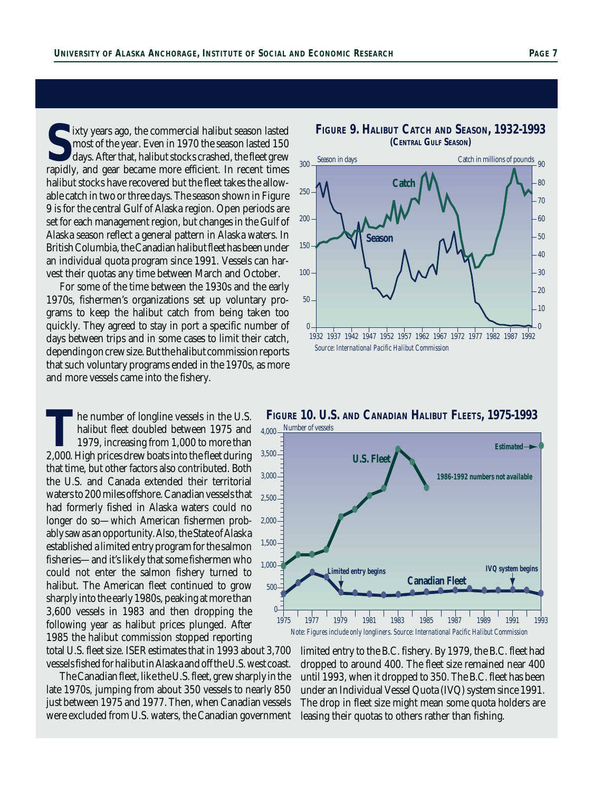**S**ixty years ago, the commercial halibut season lasted most of the year. Even in 1970 the season lasted 150 days. After that, halibut stocks crashed, the fleet grew rapidly, and gear became more efficient. In recent times most of the year. Even in 1970 the season lasted 150 days. After that, halibut stocks crashed, the fleet grew rapidly, and gear became more efficient. In recent times halibut stocks have recovered but the fleet takes the allowable catch in two or three days. The season shown in Figure 9 is for the central Gulf of Alaska region. Open periods are set for each management region, but changes in the Gulf of Alaska season reflect a general pattern in Alaska waters. In British Columbia, the Canadian halibut fleet has been under an individual quota program since 1991. Vessels can harvest their quotas any time between March and October.

For some of the time between the 1930s and the early 1970s, fishermen's organizations set up voluntary programs to keep the halibut catch from being taken too quickly. They agreed to stay in port a specific number of days between trips and in some cases to limit their catch, depending on crew size. But the halibut commission reports that such voluntary programs ended in the 1970s, as more and more vessels came into the fishery.

The number of longline vessels in the U.S.<br>
halibut fleet doubled between 1975 and<br>
1979, increasing from 1,000 to more than<br>
2,000. High prices drew boats into the fleet during halibut fleet doubled between 1975 and 1979, increasing from 1,000 to more than that time, but other factors also contributed. Both the U.S. and Canada extended their territorial waters to 200 miles offshore. Canadian vessels that had formerly fished in Alaska waters could no longer do so—which American fishermen probably saw as an opportunity. Also, the State of Alaska established a limited entry program for the salmon fisheries—and it's likely that some fishermen who could not enter the salmon fishery turned to halibut. The American fleet continued to grow sharply into the early 1980s, peaking at more than 3,600 vessels in 1983 and then dropping the following year as halibut prices plunged. After 1985 the halibut commission stopped reporting

total U.S. fleet size. ISER estimates that in 1993 about 3,700 vessels fished for halibut in Alaska and off the U.S. west coast.

The Canadian fleet, like the U.S. fleet, grew sharply in the late 1970s, jumping from about 350 vessels to nearly 850 just between 1975 and 1977. Then, when Canadian vessels were excluded from U.S. waters, the Canadian government



**FIGURE 9. HALIBUT CATCH AND SEASON, 1932-1993 (CENTRAL GULF SEASON)**

**FIGURE 10. U.S. AND CANADIAN HALIBUT FLEETS, 1975-1993** 4,000 Number of vessels



limited entry to the B.C. fishery. By 1979, the B.C. fleet had dropped to around 400. The fleet size remained near 400 until 1993, when it dropped to 350. The B.C. fleet has been under an Individual Vessel Quota (IVQ) system since 1991. The drop in fleet size might mean some quota holders are leasing their quotas to others rather than fishing.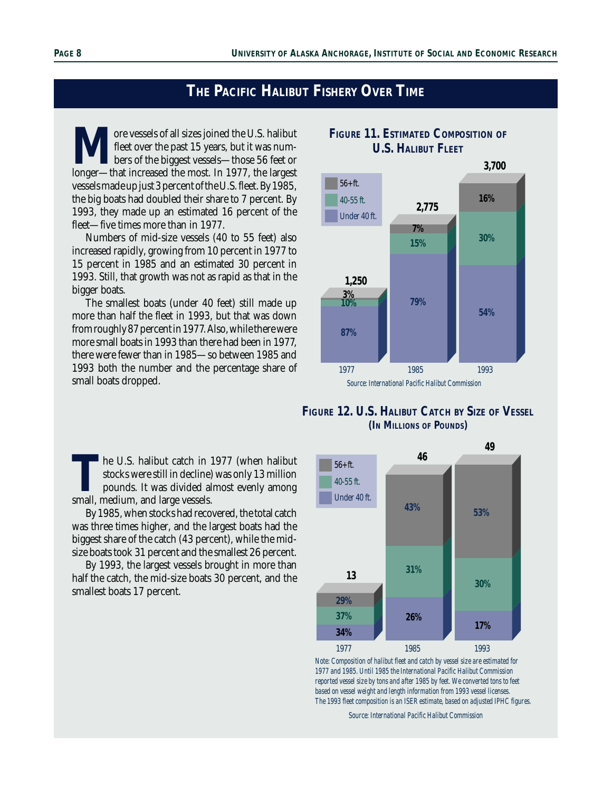## **THE PACIFIC HALIBUT FISHERY OVER TIME**

More vessels of all sizes joined the U.S. halibut<br>fleet over the past 15 years, but it was num-<br>longer—that increased the most. In 1977, the largest fleet over the past 15 years, but it was numbers of the biggest vessels—those 56 feet or longer—that increased the most. In 1977, the largest vessels made up just 3 percent of the U.S. fleet. By 1985, the big boats had doubled their share to 7 percent. By 1993, they made up an estimated 16 percent of the fleet—five times more than in 1977.

Numbers of mid-size vessels (40 to 55 feet) also increased rapidly, growing from 10 percent in 1977 to 15 percent in 1985 and an estimated 30 percent in 1993. Still, that growth was not as rapid as that in the bigger boats.

The smallest boats (under 40 feet) still made up more than half the fleet in 1993, but that was down from roughly 87 percent in 1977. Also, while there were more small boats in 1993 than there had been in 1977, there were fewer than in 1985—so between 1985 and 1993 both the number and the percentage share of small boats dropped.

**T**he U.S. halibut catch in 1977 (when halibut stocks were still in decline) was only 13 million pounds. It was divided almost evenly among small, medium, and large vessels.

By 1985, when stocks had recovered, the total catch was three times higher, and the largest boats had the biggest share of the catch (43 percent), while the midsize boats took 31 percent and the smallest 26 percent.

By 1993, the largest vessels brought in more than half the catch, the mid-size boats 30 percent, and the smallest boats 17 percent.

## **FIGURE 11. ESTIMATED COMPOSITION OF U.S. HALIBUT FLEET**



**FIGURE 12. U.S. HALIBUT CATCH BY SIZE OF VESSEL (IN MILLIONS OF POUNDS)**



*Note: Composition of halibut fleet and catch by vessel size are estimated for 1977 and 1985. Until 1985 the International Pacific Halibut Commission reported vessel size by tons and after 1985 by feet. We converted tons to feet based on vessel weight and length information from 1993 vessel licenses. The 1993 fleet composition is an ISER estimate, based on adjusted IPHC figures.*

*Source: International Pacific Halibut Commission*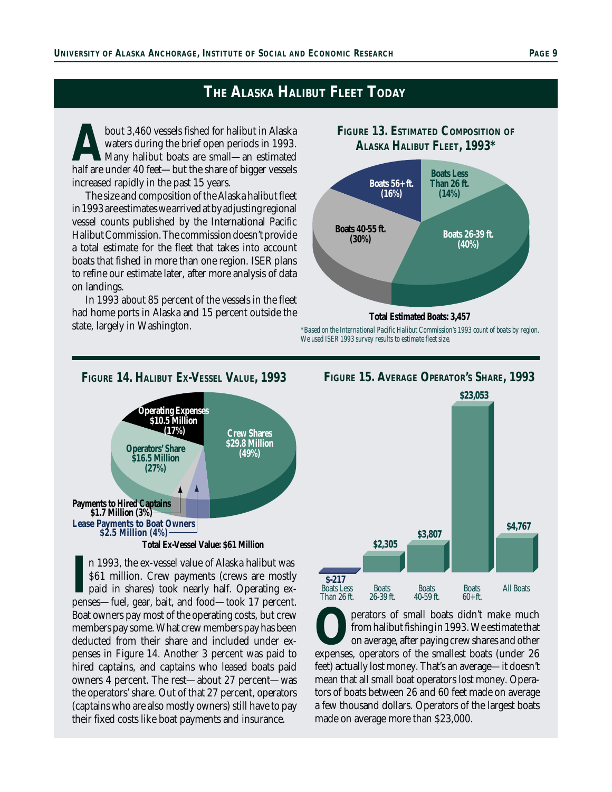## **THE ALASKA HALIBUT FLEET TODAY**

bout 3,460 vessels fished for halibut in Alaska<br>
waters during the brief open periods in 1993.<br>
half are under 40 feet—but the share of bigger vessels waters during the brief open periods in 1993. Many halibut boats are small—an estimated increased rapidly in the past 15 years.

The size and composition of the Alaska halibut fleet in 1993 are estimates we arrived at by adjusting regional vessel counts published by the International Pacific Halibut Commission. The commission doesn't provide a total estimate for the fleet that takes into account boats that fished in more than one region. ISER plans to refine our estimate later, after more analysis of data on landings.

In 1993 about 85 percent of the vessels in the fleet had home ports in Alaska and 15 percent outside the state, largely in Washington.

## **FIGURE 13. ESTIMATED COMPOSITION OF ALASKA HALIBUT FLEET, 1993\* Boats Less Than 26 ft. (14%) Boats 26-39 ft. (40%) Boats 40-55 ft. (30%) Boats 56+ ft. (16%) Total Estimated Boats: 3,457**

*\*Based on the International Pacific Halibut Commission's 1993 count of boats by region. We used ISER 1993 survey results to estimate fleet size.*



In 1993, the ex-vessel value of Alaska halibut was \$61 million. Crew payments (crews are mostly paid in shares) took nearly half. Operating expenses—fuel, gear, bait, and food—took 17 percent. n 1993, the ex-vessel value of Alaska halibut was \$61 million. Crew payments (crews are mostly paid in shares) took nearly half. Operating ex-Boat owners pay most of the operating costs, but crew members pay some. What crew members pay has been deducted from their share and included under expenses in Figure 14. Another 3 percent was paid to hired captains, and captains who leased boats paid owners 4 percent. The rest—about 27 percent—was the operators' share. Out of that 27 percent, operators (captains who are also mostly owners) still have to pay their fixed costs like boat payments and insurance.



**O**perators of small boats didn't make much from halibut fishing in 1993. We estimate that on average, after paying crew shares and other expenses, operators of the smallest boats (under 26 from halibut fishing in 1993. We estimate that on average, after paying crew shares and other feet) actually lost money. That's an average—it doesn't mean that all small boat operators lost money. Operators of boats between 26 and 60 feet made on average a few thousand dollars. Operators of the largest boats made on average more than \$23,000.

#### **FIGURE 14. HALIBUT EX-VESSEL VALUE, 1993 FIGURE 15. AVERAGE OPERATOR'S SHARE, 1993**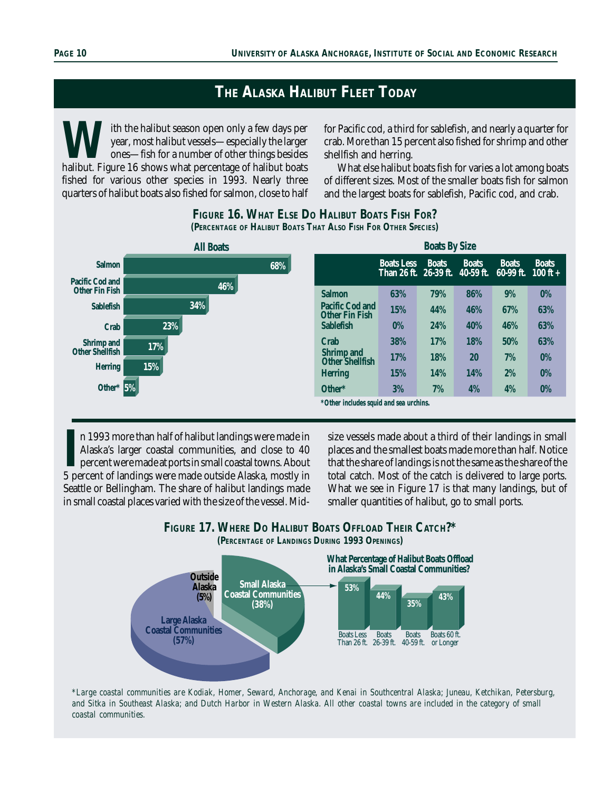## **THE ALASKA HALIBUT FLEET TODAY**

With the halibut season open only a few days per year, most halibut vessels—especially the larger ones—fish for a number of other things besides halibut. Figure 16 shows what percentage of halibut boats year, most halibut vessels—especially the larger ones—fish for a number of other things besides fished for various other species in 1993. Nearly three quarters of halibut boats also fished for salmon, close to half

for Pacific cod, a third for sablefish, and nearly a quarter for crab. More than 15 percent also fished for shrimp and other shellfish and herring.

What else halibut boats fish for varies a lot among boats of different sizes. Most of the smaller boats fish for salmon and the largest boats for sablefish, Pacific cod, and crab.



#### **FIGURE 16. WHAT ELSE DO HALIBUT BOATS FISH FOR? (PERCENTAGE OF HALIBUT BOATS THAT ALSO FISH FOR OTHER SPECIES)**

II n 1993 more than half of halibut landings were made in Alaska's larger coastal communities, and close to 40 percent were made at ports in small coastal towns. About 5 percent of landings were made outside Alaska, mostly n 1993 more than half of halibut landings were made in Alaska's larger coastal communities, and close to 40 percent were made at ports in small coastal towns. About Seattle or Bellingham. The share of halibut landings made in small coastal places varied with the size of the vessel. Midsize vessels made about a third of their landings in small places and the smallest boats made more than half. Notice that the share of landings is not the same as the share of the total catch. Most of the catch is delivered to large ports. What we see in Figure 17 is that many landings, but of smaller quantities of halibut, go to small ports.

## **FIGURE 17. WHERE DO HALIBUT BOATS OFFLOAD THEIR CATCH?\***





*\*Large coastal communities are Kodiak, Homer, Seward, Anchorage, and Kenai in Southcentral Alaska; Juneau, Ketchikan, Petersburg, and Sitka in Southeast Alaska; and Dutch Harbor in Western Alaska. All other coastal towns are included in the category of small coastal communities.*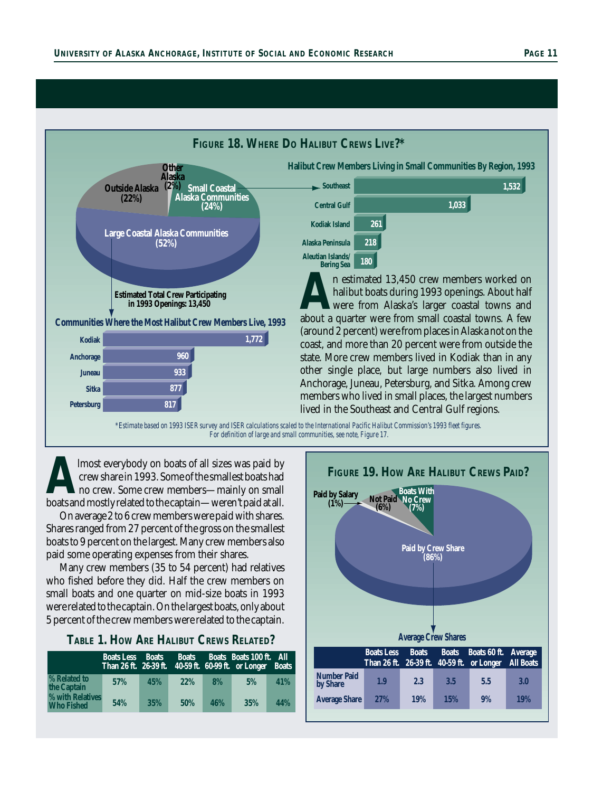

*For definition of large and small communities, see note, Figure 17.*

**A**lmost everybody on boats of all sizes was paid by crew share in 1993. Some of the smallest boats had no crew. Some crew members—mainly on small boats and mostly related to the captain—weren't paid at all.

On average 2 to 6 crew members were paid with shares. Shares ranged from 27 percent of the gross on the smallest boats to 9 percent on the largest. Many crew members also paid some operating expenses from their shares.

Many crew members (35 to 54 percent) had relatives who fished before they did. Half the crew members on small boats and one quarter on mid-size boats in 1993 were related to the captain. On the largest boats, only about 5 percent of the crew members were related to the captain.

| TABLE 1. HOW ARE HALIBUT CREWS RELATED? |  |
|-----------------------------------------|--|
|-----------------------------------------|--|

|                                       | <b>Boats Less</b> | <b>Boats</b> | <b>Boats</b> |     | Boats Boats 100 ft. All<br>Than 26 ft. 26-39 ft. 40-59 ft. 60-99 ft. or Longer Boats |     |
|---------------------------------------|-------------------|--------------|--------------|-----|--------------------------------------------------------------------------------------|-----|
| % Related to<br>the Captain           | 57%               | 45%          | 22%          | 8%  | 5%                                                                                   | 41% |
| % with Relatives<br><b>Who Fished</b> | 54%               | 35%          | 50%          | 46% | 35%                                                                                  | 44% |

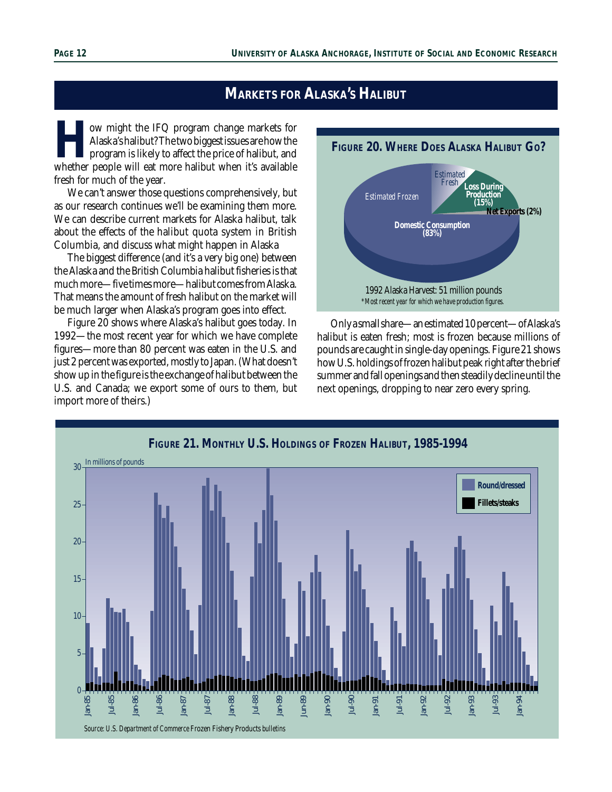## **MARKETS FOR ALASKA'S HALIBUT**

**How might the IFQ program change markets for Alaska's halibut? The two biggest issues are how the program is likely to affect the price of halibut, and whether people will eat more halibut when it's available** Alaska's halibut? The two biggest issues are how the program is likely to affect the price of halibut, and fresh for much of the year.

We can't answer those questions comprehensively, but as our research continues we'll be examining them more. We can describe current markets for Alaska halibut, talk about the effects of the halibut quota system in British Columbia, and discuss what might happen in Alaska

The biggest difference (and it's a very big one) between the Alaska and the British Columbia halibut fisheries is that much more—five times more—halibut comes from Alaska. That means the amount of fresh halibut on the market will be much larger when Alaska's program goes into effect.

Figure 20 shows where Alaska's halibut goes today. In 1992—the most recent year for which we have complete figures—more than 80 percent was eaten in the U.S. and just 2 percent was exported, mostly to Japan. (What doesn't show up in the figure is the exchange of halibut between the U.S. and Canada; we export some of ours to them, but import more of theirs.)



Only a small share—an estimated 10 percent—of Alaska's halibut is eaten fresh; most is frozen because millions of pounds are caught in single-day openings. Figure 21 shows how U.S. holdings of frozen halibut peak right after the brief summer and fall openings and then steadily decline until the next openings, dropping to near zero every spring.

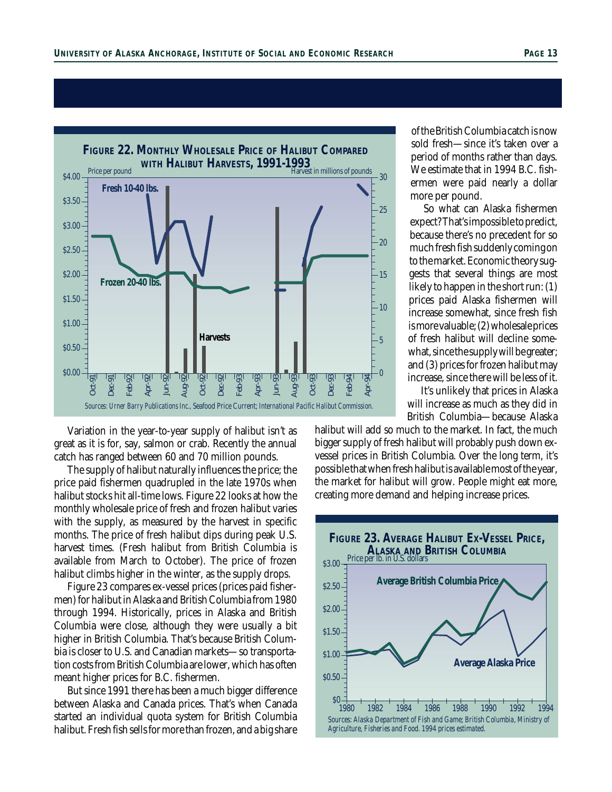

Variation in the year-to-year supply of halibut isn't as great as it is for, say, salmon or crab. Recently the annual catch has ranged between 60 and 70 million pounds.

The supply of halibut naturally influences the price; the price paid fishermen quadrupled in the late 1970s when halibut stocks hit all-time lows. Figure 22 looks at how the monthly wholesale price of fresh and frozen halibut varies with the supply, as measured by the harvest in specific months. The price of fresh halibut dips during peak U.S. harvest times. (Fresh halibut from British Columbia is available from March to October). The price of frozen halibut climbs higher in the winter, as the supply drops.

Figure 23 compares ex-vessel prices (prices paid fishermen) for halibut in Alaska and British Columbia from 1980 through 1994. Historically, prices in Alaska and British Columbia were close, although they were usually a bit higher in British Columbia. That's because British Columbia is closer to U.S. and Canadian markets—so transportation costs from British Columbia are lower, which has often meant higher prices for B.C. fishermen.

But since 1991 there has been a much bigger difference between Alaska and Canada prices. That's when Canada started an individual quota system for British Columbia halibut. Fresh fish sells for more than frozen, and a big share

of the British Columbia catch is now sold fresh—since it's taken over a period of months rather than days. We estimate that in 1994 B.C. fishermen were paid nearly a dollar more per pound.

So what can Alaska fishermen expect? That's impossible to predict, because there's no precedent for so much fresh fish suddenly coming on to the market. Economic theory suggests that several things are most likely to happen in the short run: (1) prices paid Alaska fishermen will increase somewhat, since fresh fish is more valuable; (2) wholesale prices of fresh halibut will decline somewhat, since the supply will be greater; and (3) prices for frozen halibut may increase, since there will be less of it.

It's unlikely that prices in Alaska will increase as much as they did in British Columbia—because Alaska

halibut will add so much to the market. In fact, the much bigger supply of fresh halibut will probably push down exvessel prices in British Columbia. Over the long term, it's possible that when fresh halibut is available most of the year, the market for halibut will grow. People might eat more, creating more demand and helping increase prices.

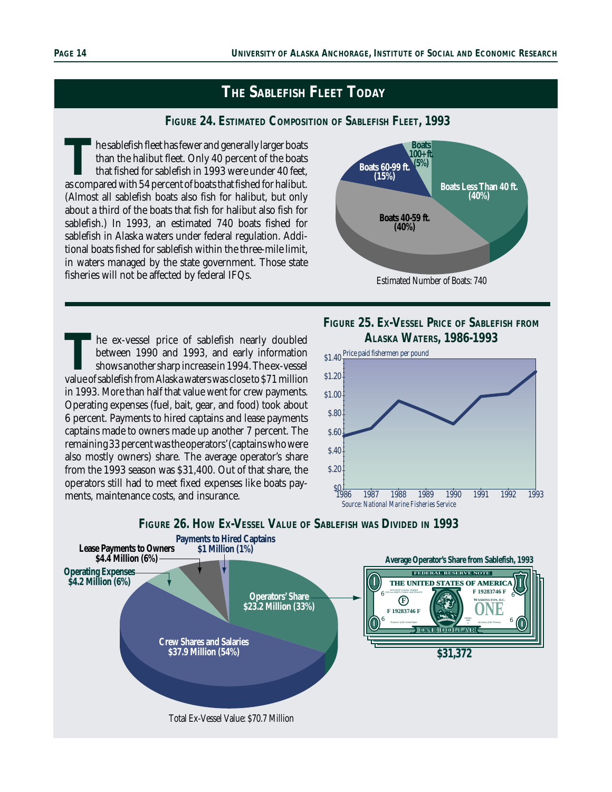## **THE SABLEFISH FLEET TODAY**

#### **FIGURE 24. ESTIMATED COMPOSITION OF SABLEFISH FLEET, 1993**

The sablefish fleet has fewer and generally larger boats<br>than the halibut fleet. Only 40 percent of the boats<br>that fished for sablefish in 1993 were under 40 feet,<br>as compared with 54 percent of boats that fished for halib than the halibut fleet. Only 40 percent of the boats that fished for sablefish in 1993 were under 40 feet, (Almost all sablefish boats also fish for halibut, but only about a third of the boats that fish for halibut also fish for sablefish.) In 1993, an estimated 740 boats fished for sablefish in Alaska waters under federal regulation. Additional boats fished for sablefish within the three-mile limit, in waters managed by the state government. Those state fisheries will not be affected by federal IFQs.

The ex-vessel price of sablefish nearly doubled<br>between 1990 and 1993, and early information<br>shows another sharp increase in 1994. The ex-vessel<br>value of sablefish from Alaska waters was close to \$71 million between 1990 and 1993, and early information shows another sharp increase in 1994. The ex-vessel in 1993. More than half that value went for crew payments. Operating expenses (fuel, bait, gear, and food) took about 6 percent. Payments to hired captains and lease payments captains made to owners made up another 7 percent. The remaining 33 percent was the operators' (captains who were also mostly owners) share. The average operator's share from the 1993 season was \$31,400. Out of that share, the operators still had to meet fixed expenses like boats payments, maintenance costs, and insurance.



### **FIGURE 25. EX-VESSEL PRICE OF SABLEFISH FROM ALASKA WATERS, 1986-1993**





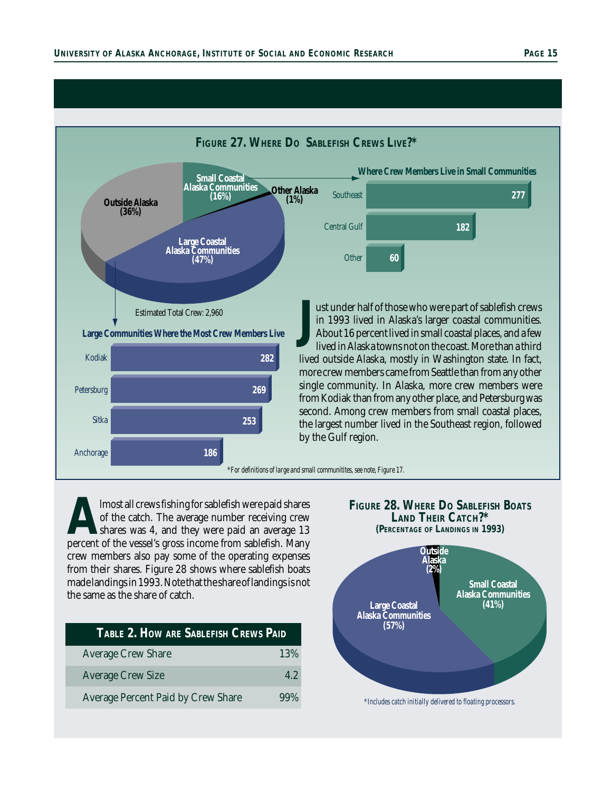

**Almost all crews fishing for sablefish were paid shares** of the catch. The average number receiving crewshares was 4, and they were paid an average 13 percent of the vessel's gross income from sablefish. Many of the catch. The average number receiving crew shares was 4, and they were paid an average 13 crew members also pay some of the operating expenses from their shares. Figure 28 shows where sablefish boats made landings in 1993. Note that the share of landings is not the same as the share of catch.

| TABLE 2. HOW ARE SABLEFISH CREWS PAID     |        |  |  |  |
|-------------------------------------------|--------|--|--|--|
| <b>Average Crew Share</b>                 | 13%    |  |  |  |
| <b>Average Crew Size</b>                  | 4.2    |  |  |  |
| <b>Average Percent Paid by Crew Share</b> | $99\%$ |  |  |  |

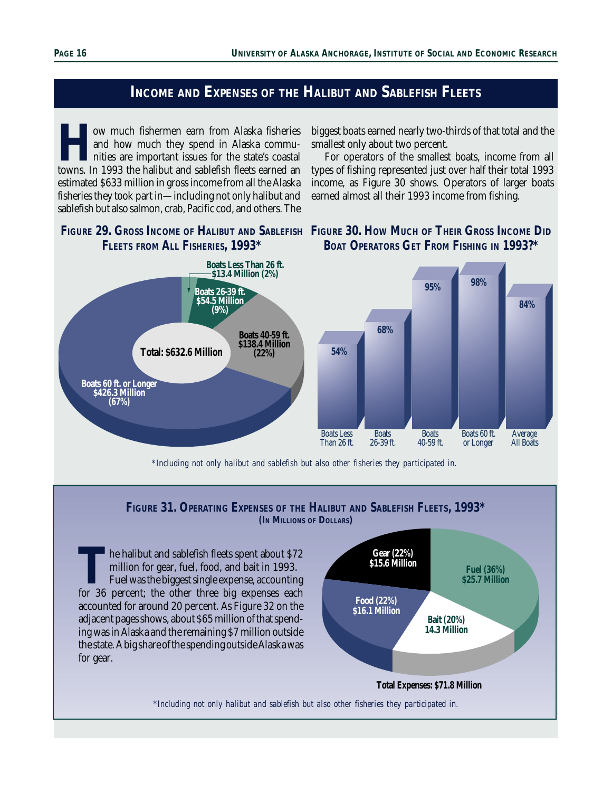## **INCOME AND EXPENSES OF THE HALIBUT AND SABLEFISH FLEETS**

**How much fishermen earn from Alaska fisheries**<br>and how much they spend in Alaska commu-<br>nities are important issues for the state's coastal<br>towns. In 1993 the halibut and sablefish fleets earned an and how much they spend in Alaska communities are important issues for the state's coastal estimated \$633 million in gross income from all the Alaska fisheries they took part in—including not only halibut and sablefish but also salmon, crab, Pacific cod, and others. The

biggest boats earned nearly two-thirds of that total and the smallest only about two percent.

For operators of the smallest boats, income from all types of fishing represented just over half their total 1993 income, as Figure 30 shows. Operators of larger boats earned almost all their 1993 income from fishing.







*\*Including not only halibut and sablefish but also other fisheries they participated in.*

#### **FIGURE 31. OPERATING EXPENSES OF THE HALIBUT AND SABLEFISH FLEETS, 1993\* (IN MILLIONS OF DOLLARS)**

The halibut and sablefish fleets spent about \$72 million for gear, fuel, food, and bait in 1993.<br>Fuel was the biggest single expense, accounting for 36 percent; the other three big expenses each million for gear, fuel, food, and bait in 1993. Fuel was the biggest single expense, accounting accounted for around 20 percent. As Figure 32 on the adjacent pages shows, about \$65 million of that spending was in Alaska and the remaining \$7 million outside the state. A big share of the spending outside Alaska was for gear.



*\*Including not only halibut and sablefish but also other fisheries they participated in.*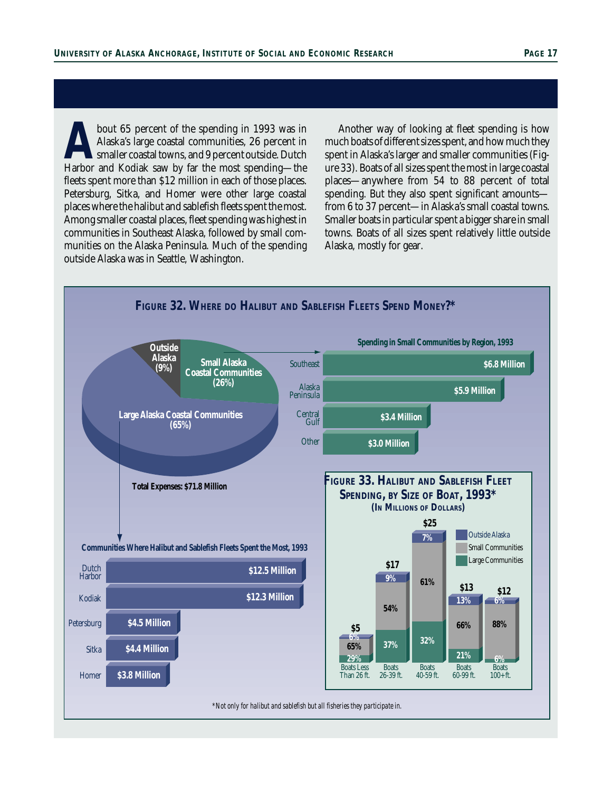bout 65 percent of the spending in 1993 was in<br>Alaska's large coastal communities, 26 percent in<br>Smaller coastal towns, and 9 percent outside. Dutch<br>Harbor and Kodiak saw by far the most spending—the Alaska's large coastal communities, 26 percent in smaller coastal towns, and 9 percent outside. Dutch Harbor and Kodiak saw by far the most spending—the fleets spent more than \$12 million in each of those places. Petersburg, Sitka, and Homer were other large coastal places where the halibut and sablefish fleets spent the most. Among smaller coastal places, fleet spending was highest in communities in Southeast Alaska, followed by small communities on the Alaska Peninsula. Much of the spending outside Alaska was in Seattle, Washington.

Another way of looking at fleet spending is how much boats of different sizes spent, and how much they spent in Alaska's larger and smaller communities (Figure 33). Boats of all sizes spent the most in large coastal places—anywhere from 54 to 88 percent of total spending. But they also spent significant amounts from 6 to 37 percent—in Alaska's small coastal towns. Smaller boats in particular spent a bigger share in small towns. Boats of all sizes spent relatively little outside Alaska, mostly for gear.

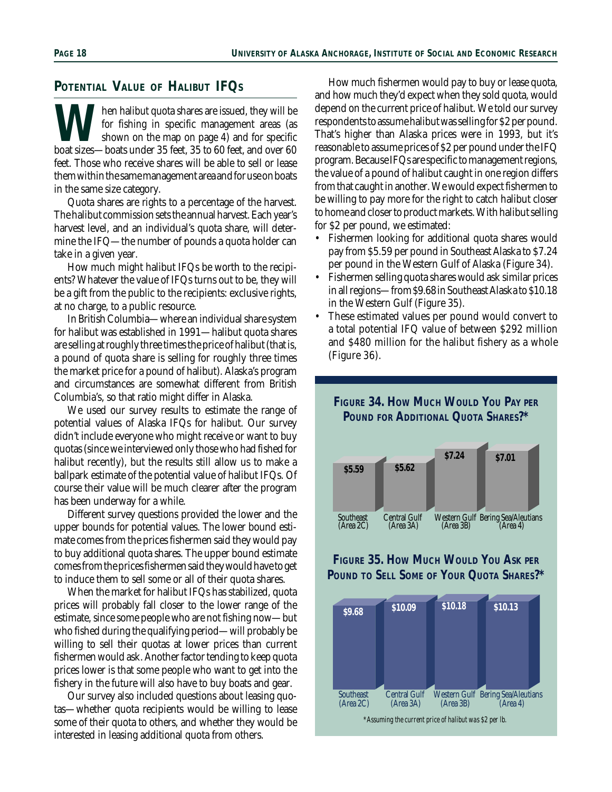## **POTENTIAL VALUE OF HALIBUT IFQS**

**W** for fishing in specific management areas (as shown on the map on page 4) and for specific boat sizes—boats under 35 feet, 35 to 60 feet, and over 60 for fishing in specific management areas (as shown on the map on page 4) and for specific feet. Those who receive shares will be able to sell or lease them within the same management area and for use on boats in the same size category.

Quota shares are rights to a percentage of the harvest. The halibut commission sets the annual harvest. Each year's harvest level, and an individual's quota share, will determine the IFQ—the number of pounds a quota holder can take in a given year.

How much might halibut IFQs be worth to the recipients? Whatever the value of IFQs turns out to be, they will be a gift from the public to the recipients: exclusive rights, at no charge, to a public resource.

In British Columbia—where an individual share system for halibut was established in 1991—halibut quota shares are selling at roughly three times the price of halibut (that is, a pound of quota share is selling for roughly three times the market price for a pound of halibut). Alaska's program and circumstances are somewhat different from British Columbia's, so that ratio might differ in Alaska.

We used our survey results to estimate the range of potential values of Alaska IFQs for halibut. Our survey didn't include everyone who might receive or want to buy quotas (since we interviewed only those who had fished for halibut recently), but the results still allow us to make a ballpark estimate of the potential value of halibut IFQs. Of course their value will be much clearer after the program has been underway for a while.

Different survey questions provided the lower and the upper bounds for potential values. The lower bound estimate comes from the prices fishermen said they would pay to buy additional quota shares. The upper bound estimate comes from the prices fishermen said they would have to get to induce them to sell some or all of their quota shares.

When the market for halibut IFQs has stabilized, quota prices will probably fall closer to the lower range of the estimate, since some people who are not fishing now—but who fished during the qualifying period—will probably be willing to sell their quotas at lower prices than current fishermen would ask. Another factor tending to keep quota prices lower is that some people who want to get into the fishery in the future will also have to buy boats and gear.

Our survey also included questions about leasing quotas—whether quota recipients would be willing to lease some of their quota to others, and whether they would be interested in leasing additional quota from others.

How much fishermen would pay to buy or lease quota, and how much they'd expect when they sold quota, would depend on the current price of halibut. We told our survey respondents to assume halibut was selling for \$2 per pound. That's higher than Alaska prices were in 1993, but it's reasonable to assume prices of \$2 per pound under the IFQ program. Because IFQs are specific to management regions, the value of a pound of halibut caught in one region differs from that caught in another. We would expect fishermen to be willing to pay more for the right to catch halibut closer to home and closer to product markets. With halibut selling for \$2 per pound, we estimated:

- Fishermen looking for additional quota shares would pay from \$5.59 per pound in Southeast Alaska to \$7.24 per pound in the Western Gulf of Alaska (Figure 34).
- Fishermen selling quota shares would ask similar prices in all regions—from \$9.68 in Southeast Alaska to \$10.18 in the Western Gulf (Figure 35).
- These estimated values per pound would convert to a total potential IFQ value of between \$292 million and \$480 million for the halibut fishery as a whole (Figure 36).





## **FIGURE 35. HOW MUCH WOULD YOU ASK PER POUND TO SELL SOME OF YOUR QUOTA SHARES?\***

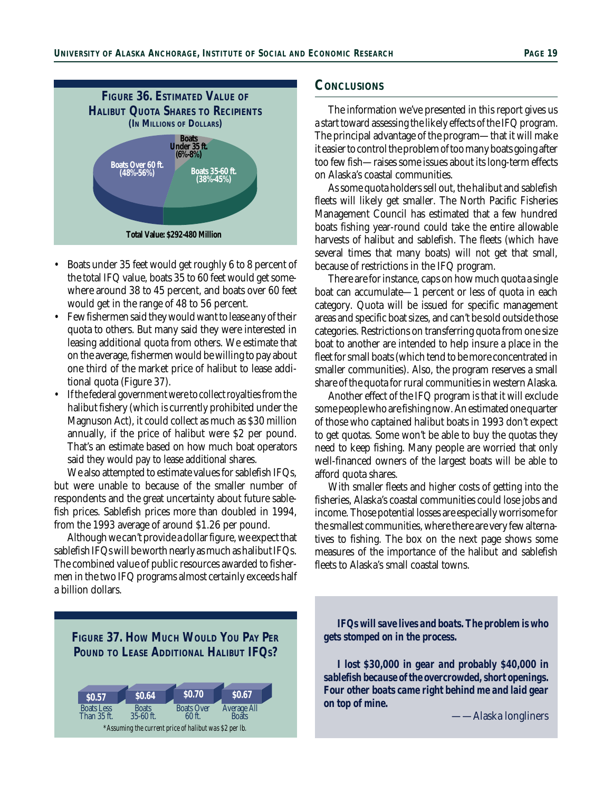

- Boats under 35 feet would get roughly 6 to 8 percent of the total IFQ value, boats 35 to 60 feet would get somewhere around 38 to 45 percent, and boats over 60 feet would get in the range of 48 to 56 percent.
- Few fishermen said they would want to lease any of their quota to others. But many said they were interested in leasing additional quota from others. We estimate that on the average, fishermen would be willing to pay about one third of the market price of halibut to lease additional quota (Figure 37).
- If the federal government were to collect royalties from the halibut fishery (which is currently prohibited under the Magnuson Act), it could collect as much as \$30 million annually, if the price of halibut were \$2 per pound. That's an estimate based on how much boat operators said they would pay to lease additional shares.

We also attempted to estimate values for sablefish IFQs, but were unable to because of the smaller number of respondents and the great uncertainty about future sablefish prices. Sablefish prices more than doubled in 1994, from the 1993 average of around \$1.26 per pound.

Although we can't provide a dollar figure, we expect that sablefish IFQs will be worth nearly as much as halibut IFQs. The combined value of public resources awarded to fishermen in the two IFQ programs almost certainly exceeds half a billion dollars.

## **CONCLUSIONS**

The information we've presented in this report gives us a start toward assessing the likely effects of the IFQ program. The principal advantage of the program—that it will make it easier to control the problem of too many boats going after too few fish—raises some issues about its long-term effects on Alaska's coastal communities.

As some quota holders sell out, the halibut and sablefish fleets will likely get smaller. The North Pacific Fisheries Management Council has estimated that a few hundred boats fishing year-round could take the entire allowable harvests of halibut and sablefish. The fleets (which have several times that many boats) will not get that small, because of restrictions in the IFQ program.

There are for instance, caps on how much quota a single boat can accumulate—1 percent or less of quota in each category. Quota will be issued for specific management areas and specific boat sizes, and can't be sold outside those categories. Restrictions on transferring quota from one size boat to another are intended to help insure a place in the fleet for small boats (which tend to be more concentrated in smaller communities). Also, the program reserves a small share of the quota for rural communities in western Alaska.

Another effect of the IFQ program is that it will exclude some people who are fishing now. An estimated one quarter of those who captained halibut boats in 1993 don't expect to get quotas. Some won't be able to buy the quotas they need to keep fishing. Many people are worried that only well-financed owners of the largest boats will be able to afford quota shares.

With smaller fleets and higher costs of getting into the fisheries, Alaska's coastal communities could lose jobs and income. Those potential losses are especially worrisome for the smallest communities, where there are very few alternatives to fishing. The box on the next page shows some measures of the importance of the halibut and sablefish fleets to Alaska's small coastal towns.



*IFQs will save lives and boats. The problem is who gets stomped on in the process.*

*I lost \$30,000 in gear and probably \$40,000 in sablefish because of the overcrowded, short openings. Four other boats came right behind me and laid gear on top of mine.*

——Alaska longliners